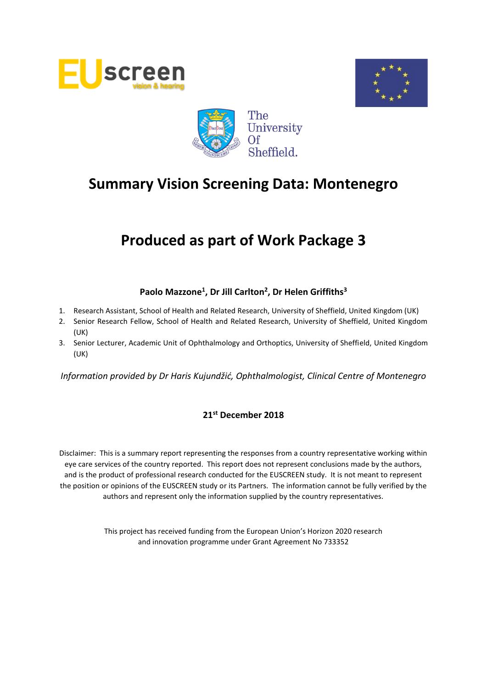





# **Produced as part of Work Package 3**

# **Paolo Mazzone<sup>1</sup> , Dr Jill Carlton<sup>2</sup> , Dr Helen Griffiths<sup>3</sup>**

- 1. Research Assistant, School of Health and Related Research, University of Sheffield, United Kingdom (UK)
- 2. Senior Research Fellow, School of Health and Related Research, University of Sheffield, United Kingdom (UK)
- 3. Senior Lecturer, Academic Unit of Ophthalmology and Orthoptics, University of Sheffield, United Kingdom (UK)

*Information provided by Dr Haris Kujundžić, Ophthalmologist, Clinical Centre of Montenegro*

#### **21st December 2018**

Disclaimer: This is a summary report representing the responses from a country representative working within eye care services of the country reported. This report does not represent conclusions made by the authors, and is the product of professional research conducted for the EUSCREEN study. It is not meant to represent the position or opinions of the EUSCREEN study or its Partners. The information cannot be fully verified by the authors and represent only the information supplied by the country representatives.

> This project has received funding from the European Union's Horizon 2020 research and innovation programme under Grant Agreement No 733352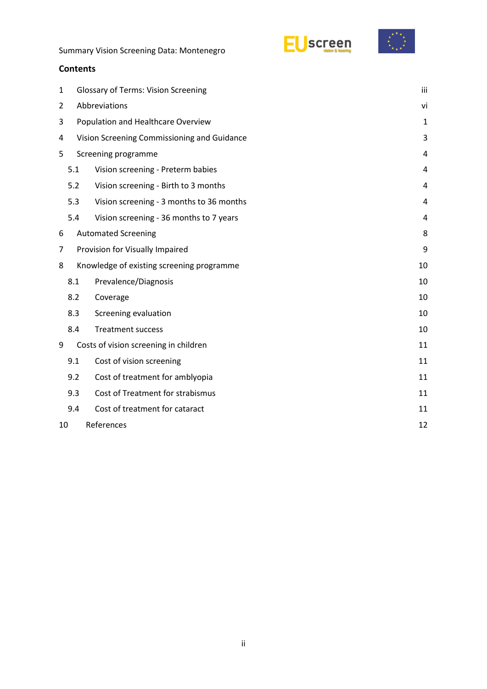EUscreen



Summary Vision Screening Data: Montenegro

#### **Contents**

|                                                  |                                          | iii                                                                                                                                                                                                                                                                             |
|--------------------------------------------------|------------------------------------------|---------------------------------------------------------------------------------------------------------------------------------------------------------------------------------------------------------------------------------------------------------------------------------|
| 1                                                |                                          |                                                                                                                                                                                                                                                                                 |
| 2                                                |                                          | vi                                                                                                                                                                                                                                                                              |
|                                                  |                                          | $\mathbf{1}$                                                                                                                                                                                                                                                                    |
| Vision Screening Commissioning and Guidance<br>4 |                                          | 3                                                                                                                                                                                                                                                                               |
|                                                  |                                          | 4                                                                                                                                                                                                                                                                               |
| 5.1                                              | Vision screening - Preterm babies        | 4                                                                                                                                                                                                                                                                               |
| 5.2                                              | Vision screening - Birth to 3 months     | 4                                                                                                                                                                                                                                                                               |
| 5.3                                              | Vision screening - 3 months to 36 months | 4                                                                                                                                                                                                                                                                               |
| 5.4                                              | Vision screening - 36 months to 7 years  | 4                                                                                                                                                                                                                                                                               |
|                                                  |                                          | 8                                                                                                                                                                                                                                                                               |
|                                                  |                                          | 9                                                                                                                                                                                                                                                                               |
|                                                  |                                          | 10                                                                                                                                                                                                                                                                              |
| 8.1                                              | Prevalence/Diagnosis                     | 10                                                                                                                                                                                                                                                                              |
| 8.2                                              | Coverage                                 | 10                                                                                                                                                                                                                                                                              |
| 8.3                                              | Screening evaluation                     | 10                                                                                                                                                                                                                                                                              |
| 8.4                                              | <b>Treatment success</b>                 | 10                                                                                                                                                                                                                                                                              |
|                                                  |                                          | 11                                                                                                                                                                                                                                                                              |
| 9.1                                              | Cost of vision screening                 | 11                                                                                                                                                                                                                                                                              |
| 9.2                                              | Cost of treatment for amblyopia          | 11                                                                                                                                                                                                                                                                              |
| 9.3                                              | Cost of Treatment for strabismus         | 11                                                                                                                                                                                                                                                                              |
| 9.4                                              | Cost of treatment for cataract           | 11                                                                                                                                                                                                                                                                              |
|                                                  | References                               | 12                                                                                                                                                                                                                                                                              |
|                                                  |                                          | <b>Glossary of Terms: Vision Screening</b><br>Abbreviations<br>Population and Healthcare Overview<br>Screening programme<br><b>Automated Screening</b><br>Provision for Visually Impaired<br>Knowledge of existing screening programme<br>Costs of vision screening in children |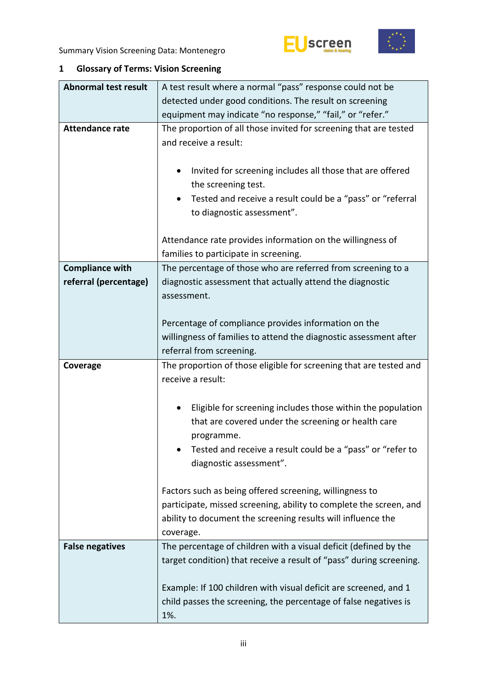



# <span id="page-2-0"></span>**1 Glossary of Terms: Vision Screening**

| <b>Abnormal test result</b> | A test result where a normal "pass" response could not be                                                                                                                                                                      |  |
|-----------------------------|--------------------------------------------------------------------------------------------------------------------------------------------------------------------------------------------------------------------------------|--|
|                             | detected under good conditions. The result on screening                                                                                                                                                                        |  |
|                             | equipment may indicate "no response," "fail," or "refer."                                                                                                                                                                      |  |
| <b>Attendance rate</b>      | The proportion of all those invited for screening that are tested<br>and receive a result:                                                                                                                                     |  |
|                             | Invited for screening includes all those that are offered<br>$\bullet$<br>the screening test.<br>Tested and receive a result could be a "pass" or "referral<br>٠                                                               |  |
|                             | to diagnostic assessment".                                                                                                                                                                                                     |  |
|                             | Attendance rate provides information on the willingness of<br>families to participate in screening.                                                                                                                            |  |
| <b>Compliance with</b>      | The percentage of those who are referred from screening to a                                                                                                                                                                   |  |
| referral (percentage)       | diagnostic assessment that actually attend the diagnostic<br>assessment.                                                                                                                                                       |  |
|                             | Percentage of compliance provides information on the                                                                                                                                                                           |  |
|                             | willingness of families to attend the diagnostic assessment after                                                                                                                                                              |  |
|                             | referral from screening.                                                                                                                                                                                                       |  |
|                             |                                                                                                                                                                                                                                |  |
| Coverage                    | The proportion of those eligible for screening that are tested and<br>receive a result:                                                                                                                                        |  |
|                             | Eligible for screening includes those within the population<br>٠<br>that are covered under the screening or health care<br>programme.<br>Tested and receive a result could be a "pass" or "refer to<br>diagnostic assessment". |  |
|                             | Factors such as being offered screening, willingness to<br>participate, missed screening, ability to complete the screen, and<br>ability to document the screening results will influence the<br>coverage.                     |  |
| <b>False negatives</b>      | The percentage of children with a visual deficit (defined by the<br>target condition) that receive a result of "pass" during screening.                                                                                        |  |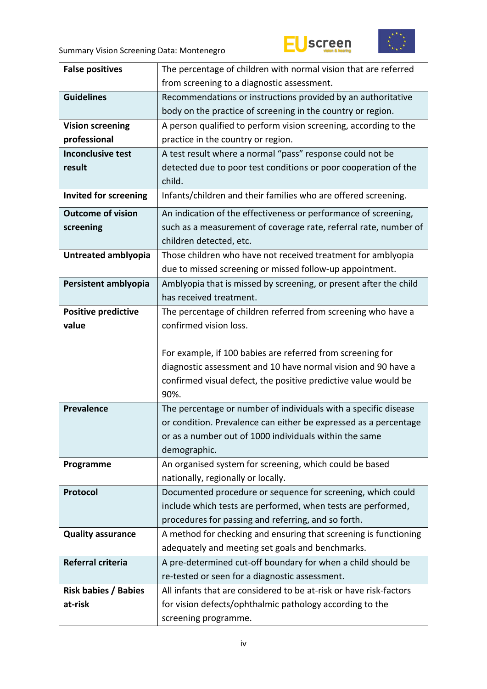



| <b>False positives</b>       | The percentage of children with normal vision that are referred                  |
|------------------------------|----------------------------------------------------------------------------------|
|                              | from screening to a diagnostic assessment.                                       |
| <b>Guidelines</b>            | Recommendations or instructions provided by an authoritative                     |
|                              | body on the practice of screening in the country or region.                      |
| <b>Vision screening</b>      | A person qualified to perform vision screening, according to the                 |
| professional                 | practice in the country or region.                                               |
| <b>Inconclusive test</b>     | A test result where a normal "pass" response could not be                        |
| result                       | detected due to poor test conditions or poor cooperation of the                  |
|                              | child.                                                                           |
| <b>Invited for screening</b> | Infants/children and their families who are offered screening.                   |
| <b>Outcome of vision</b>     | An indication of the effectiveness or performance of screening,                  |
| screening                    | such as a measurement of coverage rate, referral rate, number of                 |
|                              | children detected, etc.                                                          |
| Untreated amblyopia          | Those children who have not received treatment for amblyopia                     |
|                              | due to missed screening or missed follow-up appointment.                         |
| Persistent amblyopia         | Amblyopia that is missed by screening, or present after the child                |
|                              | has received treatment.                                                          |
| <b>Positive predictive</b>   | The percentage of children referred from screening who have a                    |
| value                        | confirmed vision loss.                                                           |
|                              |                                                                                  |
|                              |                                                                                  |
|                              | For example, if 100 babies are referred from screening for                       |
|                              | diagnostic assessment and 10 have normal vision and 90 have a                    |
|                              | confirmed visual defect, the positive predictive value would be                  |
|                              | 90%.                                                                             |
| <b>Prevalence</b>            | The percentage or number of individuals with a specific disease                  |
|                              | or condition. Prevalence can either be expressed as a percentage                 |
|                              | or as a number out of 1000 individuals within the same                           |
|                              | demographic.                                                                     |
| Programme                    | An organised system for screening, which could be based                          |
|                              | nationally, regionally or locally.                                               |
| Protocol                     | Documented procedure or sequence for screening, which could                      |
|                              | include which tests are performed, when tests are performed,                     |
|                              | procedures for passing and referring, and so forth.                              |
| <b>Quality assurance</b>     | A method for checking and ensuring that screening is functioning                 |
|                              | adequately and meeting set goals and benchmarks.                                 |
| Referral criteria            | A pre-determined cut-off boundary for when a child should be                     |
|                              | re-tested or seen for a diagnostic assessment.                                   |
| <b>Risk babies / Babies</b>  | All infants that are considered to be at-risk or have risk-factors               |
| at-risk                      | for vision defects/ophthalmic pathology according to the<br>screening programme. |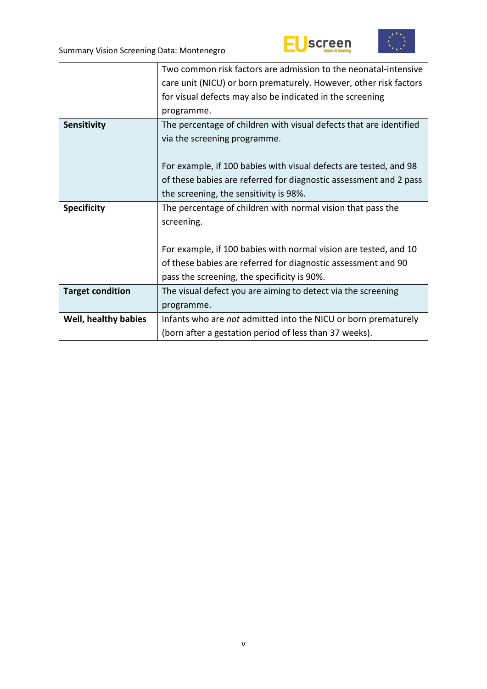



|                         | Two common risk factors are admission to the neonatal-intensive    |
|-------------------------|--------------------------------------------------------------------|
|                         | care unit (NICU) or born prematurely. However, other risk factors  |
|                         | for visual defects may also be indicated in the screening          |
|                         | programme.                                                         |
| Sensitivity             | The percentage of children with visual defects that are identified |
|                         | via the screening programme.                                       |
|                         |                                                                    |
|                         | For example, if 100 babies with visual defects are tested, and 98  |
|                         | of these babies are referred for diagnostic assessment and 2 pass  |
|                         | the screening, the sensitivity is 98%.                             |
| <b>Specificity</b>      | The percentage of children with normal vision that pass the        |
|                         | screening.                                                         |
|                         |                                                                    |
|                         | For example, if 100 babies with normal vision are tested, and 10   |
|                         | of these babies are referred for diagnostic assessment and 90      |
|                         | pass the screening, the specificity is 90%.                        |
| <b>Target condition</b> | The visual defect you are aiming to detect via the screening       |
|                         | programme.                                                         |
| Well, healthy babies    | Infants who are not admitted into the NICU or born prematurely     |
|                         | (born after a gestation period of less than 37 weeks).             |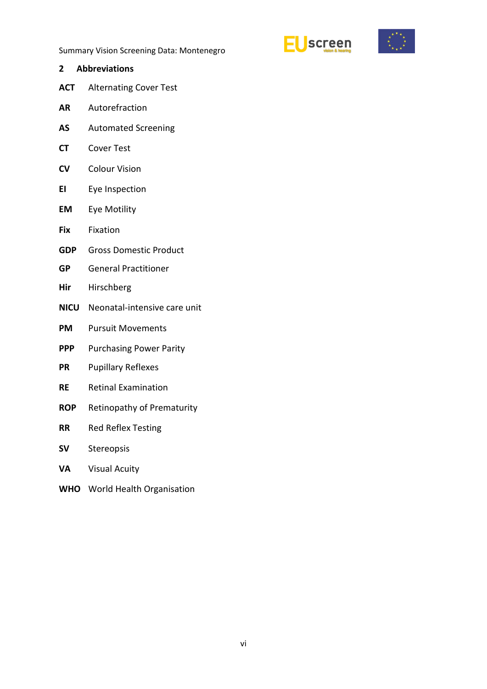



<span id="page-5-0"></span>**2 Abbreviations ACT** Alternating Cover Test **AR** Autorefraction **AS** Automated Screening **CT** Cover Test **CV** Colour Vision **EI** Eye Inspection **EM** Eye Motility **Fix** Fixation **GDP** Gross Domestic Product **GP** General Practitioner **Hir** Hirschberg **NICU** Neonatal-intensive care unit **PM** Pursuit Movements **PPP** Purchasing Power Parity **PR** Pupillary Reflexes **RE** Retinal Examination **ROP** Retinopathy of Prematurity **RR** Red Reflex Testing **SV** Stereopsis **VA** Visual Acuity **WHO** World Health Organisation

vi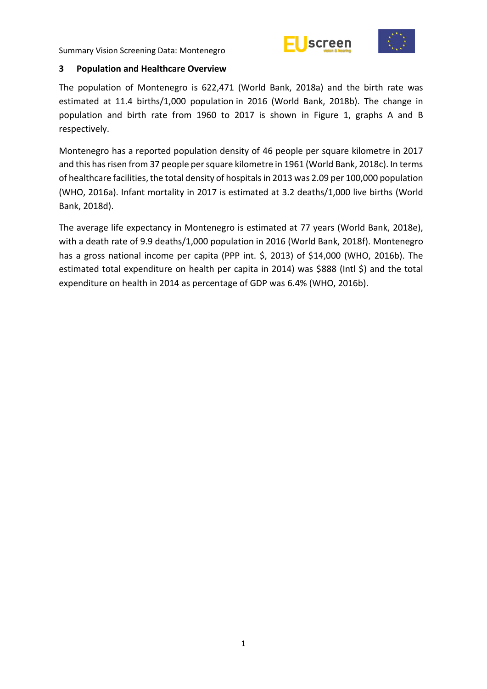



#### <span id="page-6-0"></span>**3 Population and Healthcare Overview**

The population of Montenegro is 622,471 (World Bank, 2018a) and the birth rate was estimated at 11.4 births/1,000 population in 2016 (World Bank, 2018b). The change in population and birth rate from 1960 to 2017 is shown in Figure 1, graphs A and B respectively.

Montenegro has a reported population density of 46 people per square kilometre in 2017 and this has risen from 37 people per square kilometre in 1961 (World Bank, 2018c). In terms of healthcare facilities, the total density of hospitals in 2013 was 2.09 per 100,000 population (WHO, 2016a). Infant mortality in 2017 is estimated at 3.2 deaths/1,000 live births (World Bank, 2018d).

The average life expectancy in Montenegro is estimated at 77 years (World Bank, 2018e), with a death rate of 9.9 deaths/1,000 population in 2016 (World Bank, 2018f). Montenegro has a gross national income per capita (PPP int. \$, 2013) of \$14,000 (WHO, 2016b). The estimated total expenditure on health per capita in 2014) was \$888 (Intl \$) and the total expenditure on health in 2014 as percentage of GDP was 6.4% (WHO, 2016b).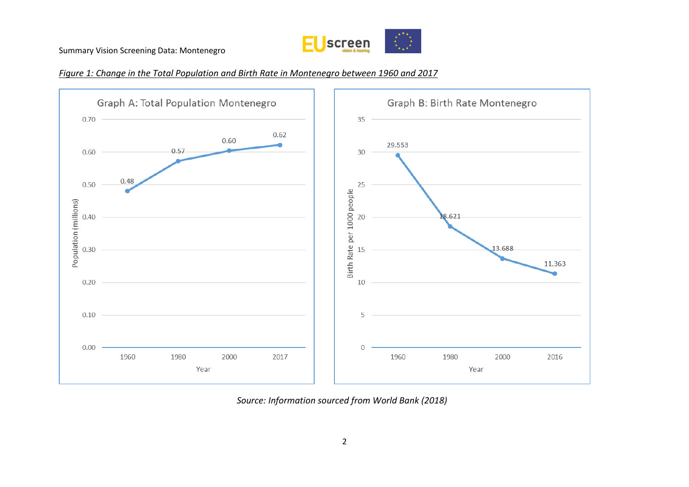





*Source: Information sourced from World Bank (2018)*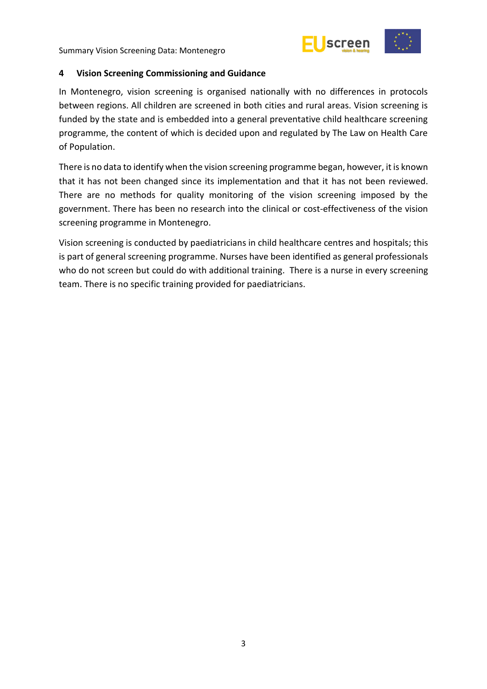



#### <span id="page-8-0"></span>**4 Vision Screening Commissioning and Guidance**

In Montenegro, vision screening is organised nationally with no differences in protocols between regions. All children are screened in both cities and rural areas. Vision screening is funded by the state and is embedded into a general preventative child healthcare screening programme, the content of which is decided upon and regulated by The Law on Health Care of Population.

There is no data to identify when the vision screening programme began, however, it is known that it has not been changed since its implementation and that it has not been reviewed. There are no methods for quality monitoring of the vision screening imposed by the government. There has been no research into the clinical or cost-effectiveness of the vision screening programme in Montenegro.

Vision screening is conducted by paediatricians in child healthcare centres and hospitals; this is part of general screening programme. Nurses have been identified as general professionals who do not screen but could do with additional training. There is a nurse in every screening team. There is no specific training provided for paediatricians.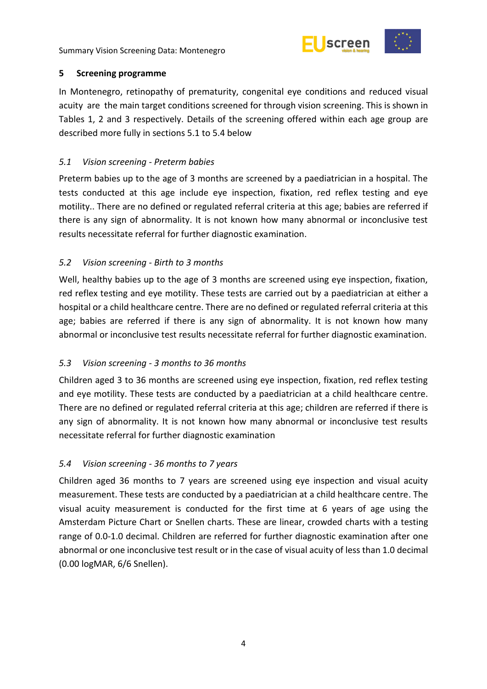



#### <span id="page-9-0"></span>**5 Screening programme**

In Montenegro, retinopathy of prematurity, congenital eye conditions and reduced visual acuity are the main target conditions screened for through vision screening. This is shown in Tables 1, 2 and 3 respectively. Details of the screening offered within each age group are described more fully in sections 5.1 to 5.4 below

# <span id="page-9-1"></span>*5.1 Vision screening - Preterm babies*

Preterm babies up to the age of 3 months are screened by a paediatrician in a hospital. The tests conducted at this age include eye inspection, fixation, red reflex testing and eye motility.. There are no defined or regulated referral criteria at this age; babies are referred if there is any sign of abnormality. It is not known how many abnormal or inconclusive test results necessitate referral for further diagnostic examination.

# <span id="page-9-2"></span>*5.2 Vision screening - Birth to 3 months*

Well, healthy babies up to the age of 3 months are screened using eye inspection, fixation, red reflex testing and eye motility. These tests are carried out by a paediatrician at either a hospital or a child healthcare centre. There are no defined or regulated referral criteria at this age; babies are referred if there is any sign of abnormality. It is not known how many abnormal or inconclusive test results necessitate referral for further diagnostic examination.

# <span id="page-9-3"></span>*5.3 Vision screening - 3 months to 36 months*

Children aged 3 to 36 months are screened using eye inspection, fixation, red reflex testing and eye motility. These tests are conducted by a paediatrician at a child healthcare centre. There are no defined or regulated referral criteria at this age; children are referred if there is any sign of abnormality. It is not known how many abnormal or inconclusive test results necessitate referral for further diagnostic examination

#### <span id="page-9-4"></span>*5.4 Vision screening - 36 months to 7 years*

Children aged 36 months to 7 years are screened using eye inspection and visual acuity measurement. These tests are conducted by a paediatrician at a child healthcare centre. The visual acuity measurement is conducted for the first time at 6 years of age using the Amsterdam Picture Chart or Snellen charts. These are linear, crowded charts with a testing range of 0.0-1.0 decimal. Children are referred for further diagnostic examination after one abnormal or one inconclusive test result or in the case of visual acuity of less than 1.0 decimal (0.00 logMAR, 6/6 Snellen).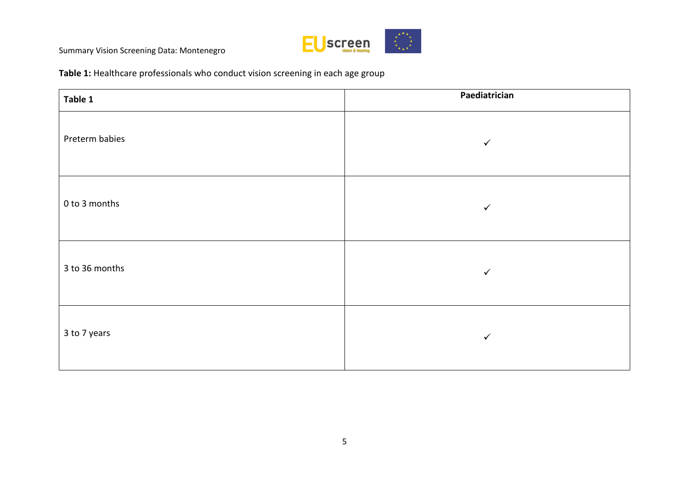

**Table 1:** Healthcare professionals who conduct vision screening in each age group

| Table 1        | Paediatrician |
|----------------|---------------|
| Preterm babies | $\checkmark$  |
| 0 to 3 months  | $\checkmark$  |
| 3 to 36 months | $\checkmark$  |
| 3 to 7 years   | $\checkmark$  |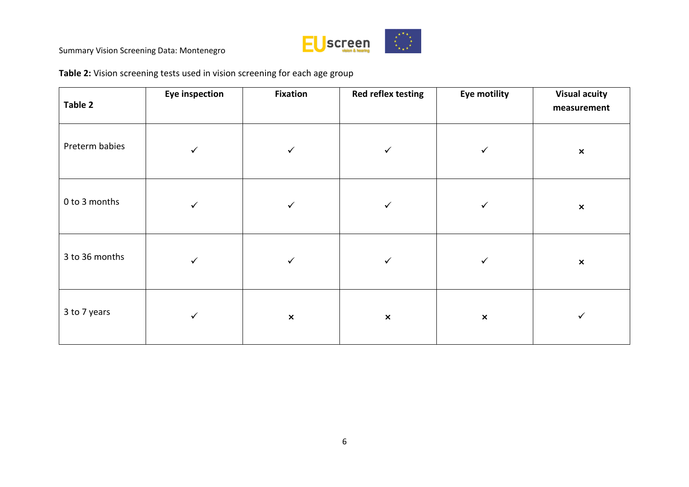

**Table 2:** Vision screening tests used in vision screening for each age group

| Table 2        | <b>Eye inspection</b> | <b>Fixation</b> | <b>Red reflex testing</b> | <b>Eye motility</b> | <b>Visual acuity</b><br>measurement |
|----------------|-----------------------|-----------------|---------------------------|---------------------|-------------------------------------|
| Preterm babies |                       | $\checkmark$    | $\checkmark$              |                     | $\pmb{\times}$                      |
| 0 to 3 months  |                       | ✓               | $\checkmark$              |                     | $\pmb{\times}$                      |
| 3 to 36 months |                       | $\checkmark$    | $\checkmark$              |                     | $\pmb{\times}$                      |
| 3 to 7 years   | ✓                     | $\pmb{\times}$  | $\pmb{\times}$            | $\pmb{\times}$      | ✓                                   |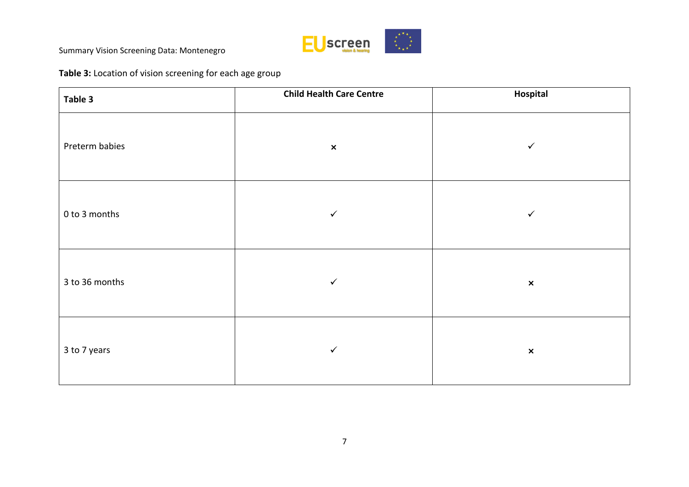

# **Table 3:** Location of vision screening for each age group

| Table 3        | <b>Child Health Care Centre</b> | Hospital       |
|----------------|---------------------------------|----------------|
| Preterm babies | $\pmb{\times}$                  | $\checkmark$   |
| 0 to 3 months  | $\checkmark$                    | $\checkmark$   |
| 3 to 36 months | $\checkmark$                    | $\pmb{\times}$ |
| 3 to 7 years   | $\checkmark$                    | $\pmb{\times}$ |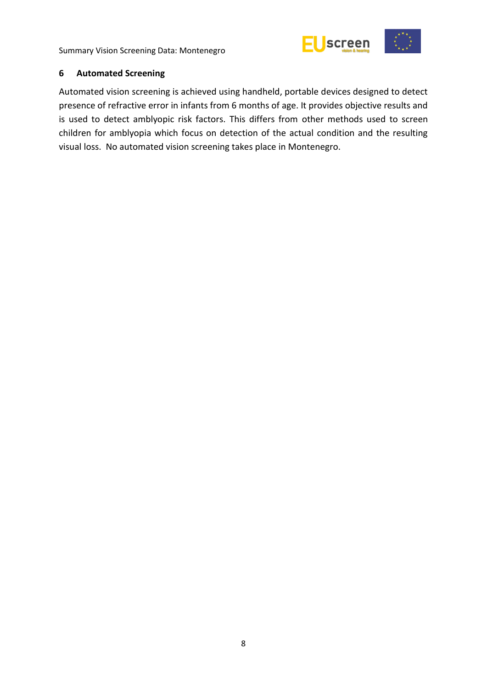

#### <span id="page-13-0"></span>**6 Automated Screening**

Automated vision screening is achieved using handheld, portable devices designed to detect presence of refractive error in infants from 6 months of age. It provides objective results and is used to detect amblyopic risk factors. This differs from other methods used to screen children for amblyopia which focus on detection of the actual condition and the resulting visual loss. No automated vision screening takes place in Montenegro.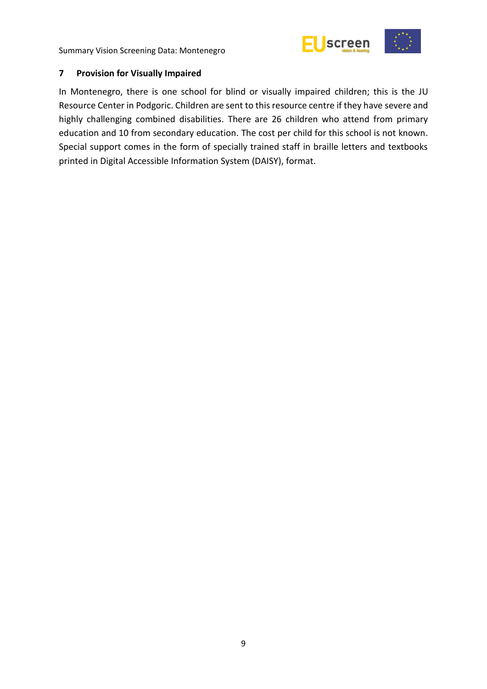

#### <span id="page-14-0"></span>**7 Provision for Visually Impaired**

In Montenegro, there is one school for blind or visually impaired children; this is the JU Resource Center in Podgoric. Children are sent to this resource centre if they have severe and highly challenging combined disabilities. There are 26 children who attend from primary education and 10 from secondary education. The cost per child for this school is not known. Special support comes in the form of specially trained staff in braille letters and textbooks printed in Digital Accessible Information System (DAISY), format.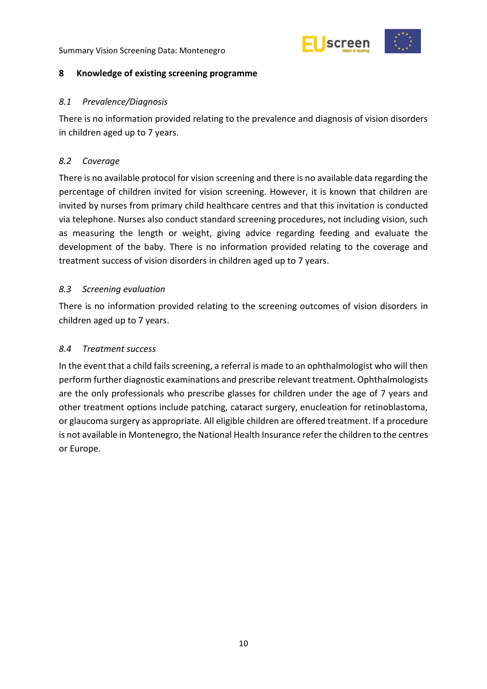

#### <span id="page-15-0"></span>**8 Knowledge of existing screening programme**

#### <span id="page-15-1"></span>*8.1 Prevalence/Diagnosis*

There is no information provided relating to the prevalence and diagnosis of vision disorders in children aged up to 7 years.

#### <span id="page-15-2"></span>*8.2 Coverage*

There is no available protocol for vision screening and there is no available data regarding the percentage of children invited for vision screening. However, it is known that children are invited by nurses from primary child healthcare centres and that this invitation is conducted via telephone. Nurses also conduct standard screening procedures, not including vision, such as measuring the length or weight, giving advice regarding feeding and evaluate the development of the baby. There is no information provided relating to the coverage and treatment success of vision disorders in children aged up to 7 years.

#### <span id="page-15-3"></span>*8.3 Screening evaluation*

There is no information provided relating to the screening outcomes of vision disorders in children aged up to 7 years.

#### <span id="page-15-4"></span>*8.4 Treatment success*

In the event that a child fails screening, a referral is made to an ophthalmologist who will then perform further diagnostic examinations and prescribe relevant treatment. Ophthalmologists are the only professionals who prescribe glasses for children under the age of 7 years and other treatment options include patching, cataract surgery, enucleation for retinoblastoma, or glaucoma surgery as appropriate. All eligible children are offered treatment. If a procedure is not available in Montenegro, the National Health Insurance refer the children to the centres or Europe.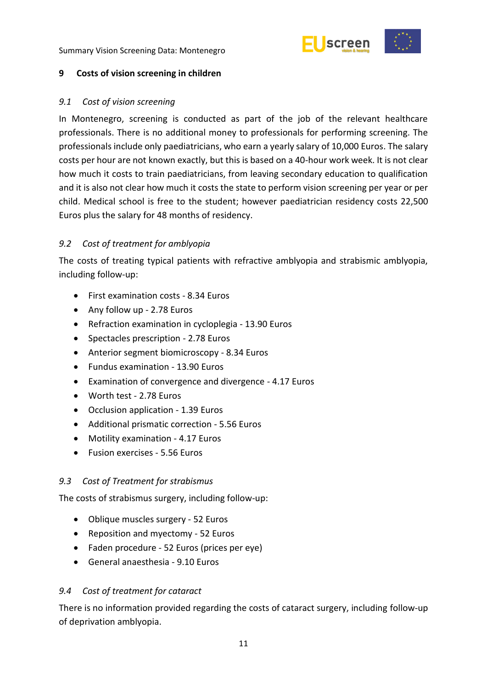

#### <span id="page-16-0"></span>**9 Costs of vision screening in children**

#### <span id="page-16-1"></span>*9.1 Cost of vision screening*

In Montenegro, screening is conducted as part of the job of the relevant healthcare professionals. There is no additional money to professionals for performing screening. The professionals include only paediatricians, who earn a yearly salary of 10,000 Euros. The salary costs per hour are not known exactly, but this is based on a 40-hour work week. It is not clear how much it costs to train paediatricians, from leaving secondary education to qualification and it is also not clear how much it costs the state to perform vision screening per year or per child. Medical school is free to the student; however paediatrician residency costs 22,500 Euros plus the salary for 48 months of residency.

# <span id="page-16-2"></span>*9.2 Cost of treatment for amblyopia*

The costs of treating typical patients with refractive amblyopia and strabismic amblyopia, including follow-up:

- First examination costs 8.34 Euros
- Any follow up 2.78 Euros
- Refraction examination in cycloplegia 13.90 Euros
- Spectacles prescription 2.78 Euros
- Anterior segment biomicroscopy 8.34 Euros
- Fundus examination 13.90 Euros
- Examination of convergence and divergence 4.17 Euros
- Worth test 2.78 Euros
- Occlusion application 1.39 Euros
- Additional prismatic correction 5.56 Euros
- Motility examination 4.17 Euros
- Fusion exercises 5.56 Euros

#### <span id="page-16-3"></span>*9.3 Cost of Treatment for strabismus*

The costs of strabismus surgery, including follow-up:

- Oblique muscles surgery 52 Euros
- Reposition and myectomy 52 Euros
- Faden procedure 52 Euros (prices per eye)
- General anaesthesia 9.10 Euros

#### <span id="page-16-4"></span>*9.4 Cost of treatment for cataract*

There is no information provided regarding the costs of cataract surgery, including follow-up of deprivation amblyopia.